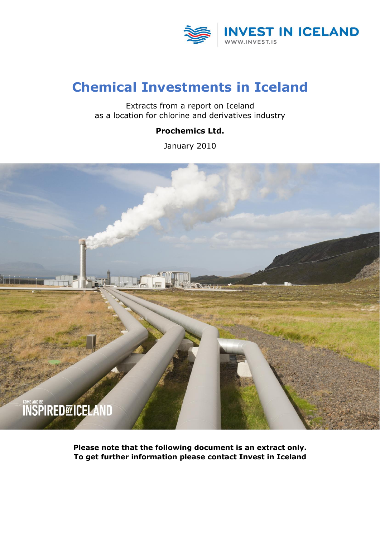

### **Chemical Investments in Iceland**

Extracts from a report on Iceland as a location for chlorine and derivatives industry

#### **Prochemics Ltd.**

January 2010



**Please note that the following document is an extract only. To get further information please contact Invest in Iceland**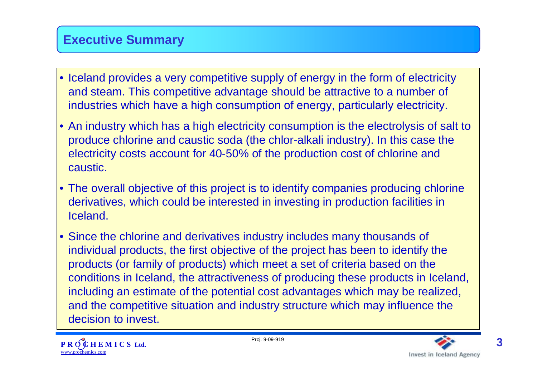### **Executive Summary**

- Iceland provides a very competitive supply of energy in the form of electricity and steam. This competitive advantage should be attractive to a number of industries which have a high consumption of energy, particularly electricity.
- An industry which has a high electricity consumption is the electrolysis of salt to produce chlorine and caustic soda (the chlor-alkali industry). In this case the electricity costs account for 40-50% of the production cost of chlorine and caustic.
- The overall objective of this project is to identify companies producing chlorine derivatives, which could be interested in investing in production facilities in Iceland.
- Since the chlorine and derivatives industry includes many thousands of individual products, the first objective of the project has been to identify the products (or family of products) which meet a set of criteria based on the conditions in Iceland, the attractiveness of producing these products in Iceland, including an estimate of the potential cost advantages which may be realized, and the competitive situation and industry structure which may influence the decision to invest.



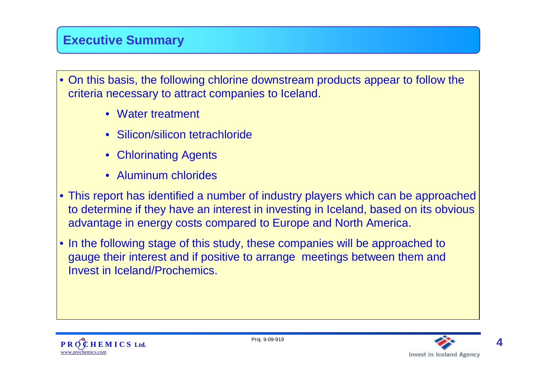### **Executive Summary**

- On this basis, the following chlorine downstream products appear to follow the criteria necessary to attract companies to Iceland.
	- Water treatment
	- Silicon/silicon tetrachloride
	- Chlorinating Agents
	- Aluminum chlorides
- This report has identified a number of industry players which can be approached to determine if they have an interest in investing in Iceland, based on its obvious advantage in energy costs compared to Europe and North America.
- In the following stage of this study, these companies will be approached to gauge their interest and if positive to arrange meetings between them and Invest in Iceland/Prochemics.



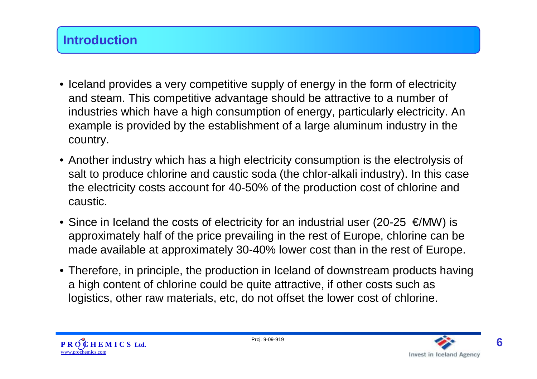- Iceland provides a very competitive supply of energy in the form of electricity and steam. This competitive advantage should be attractive to a number of industries which have a high consumption of energy, particularly electricity. An example is provided by the establishment of a large aluminum industry in the country.
- Another industry which has a high electricity consumption is the electrolysis of salt to produce chlorine and caustic soda (the chlor-alkali industry). In this case the electricity costs account for 40-50% of the production cost of chlorine and caustic.
- Since in Iceland the costs of electricity for an industrial user (20-25  $\epsilon$ /MW) is approximately half of the price prevailing in the rest of Europe, chlorine can be made available at approximately 30-40% lower cost than in the rest of Europe.
- Therefore, in principle, the production in Iceland of downstream products having a high content of chlorine could be quite attractive, if other costs such as logistics, other raw materials, etc, do not offset the lower cost of chlorine.



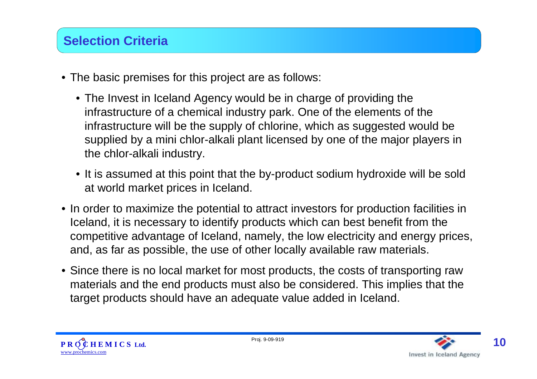# **Selection Criteria**

- The basic premises for this project are as follows:
	- The Invest in Iceland Agency would be in charge of providing the infrastructure of a chemical industry park. One of the elements of the infrastructure will be the supply of chlorine, which as suggested would be supplied by a mini chlor-alkali plant licensed by one of the major players in the chlor-alkali industry.
	- It is assumed at this point that the by-product sodium hydroxide will be sold at world market prices in Iceland.
- In order to maximize the potential to attract investors for production facilities in Iceland, it is necessary to identify products which can best benefit from the competitive advantage of Iceland, namely, the low electricity and energy prices, and, as far as possible, the use of other locally available raw materials.
- Since there is no local market for most products, the costs of transporting raw materials and the end products must also be considered. This implies that the target products should have an adequate value added in Iceland.

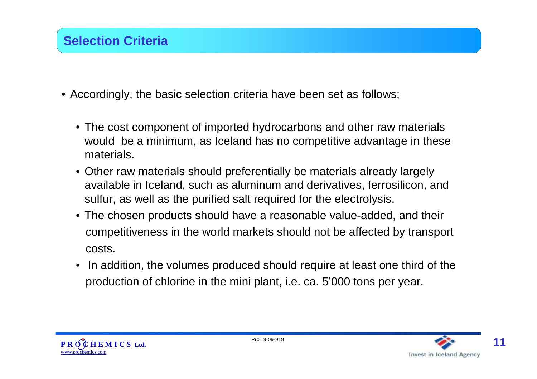- Accordingly, the basic selection criteria have been set as follows;
	- The cost component of imported hydrocarbons and other raw materials would be a minimum, as Iceland has no competitive advantage in these materials.
	- Other raw materials should preferentially be materials already largely available in Iceland, such as aluminum and derivatives, ferrosilicon, and sulfur, as well as the purified salt required for the electrolysis.
	- The chosen products should have a reasonable value-added, and their competitiveness in the world markets should not be affected by transport costs.
	- In addition, the volumes produced should require at least one third of the production of chlorine in the mini plant, i.e. ca. 5'000 tons per year.



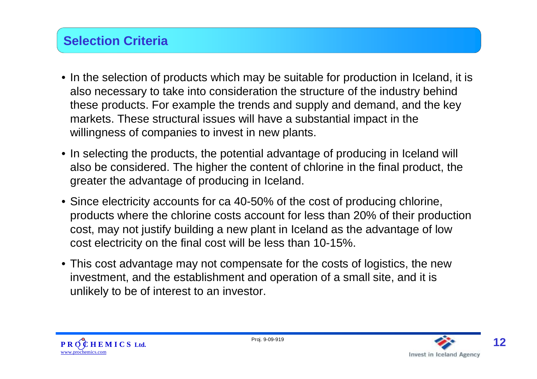# **Selection Criteria**

- In the selection of products which may be suitable for production in Iceland, it is also necessary to take into consideration the structure of the industry behind these products. For example the trends and supply and demand, and the key markets. These structural issues will have a substantial impact in the willingness of companies to invest in new plants.
- In selecting the products, the potential advantage of producing in Iceland will also be considered. The higher the content of chlorine in the final product, the greater the advantage of producing in Iceland.
- Since electricity accounts for ca 40-50% of the cost of producing chlorine, products where the chlorine costs account for less than 20% of their production cost, may not justify building a new plant in Iceland as the advantage of low cost electricity on the final cost will be less than 10-15%.
- This cost advantage may not compensate for the costs of logistics, the new investment, and the establishment and operation of a small site, and it is unlikely to be of interest to an investor.



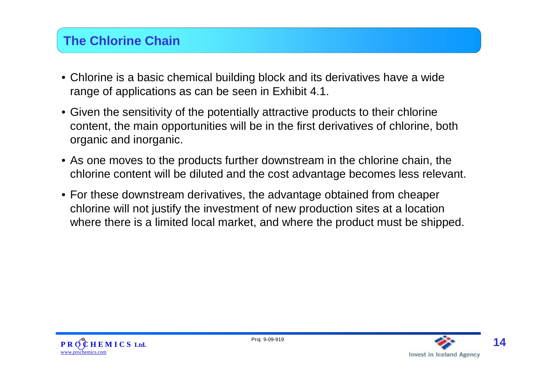## **The Chlorine Chain**

- Chlorine is a basic chemical building block and its derivatives have a wide range of applications as can be seen in Exhibit 4.1.
- Given the sensitivity of the potentially attractive products to their chlorine content, the main opportunities will be in the first derivatives of chlorine, both organic and inorganic.
- As one moves to the products further downstream in the chlorine chain, the chlorine content will be diluted and the cost advantage becomes less relevant.
- For these downstream derivatives, the advantage obtained from cheaper chlorine will not justify the investment of new production sites at a location where there is a limited local market, and where the product must be shipped.



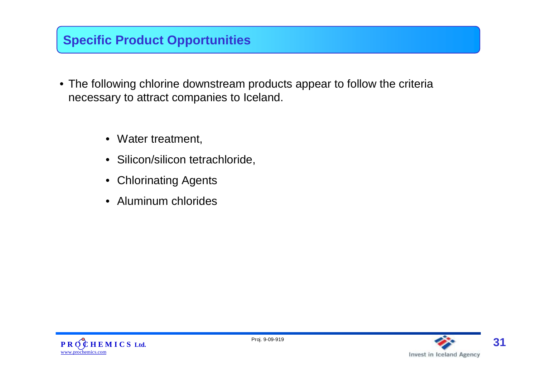## **Specific Product Opportunities**

- The following chlorine downstream products appear to follow the criteria necessary to attract companies to Iceland.
	- Water treatment,
	- Silicon/silicon tetrachloride,
	- Chlorinating Agents
	- Aluminum chlorides



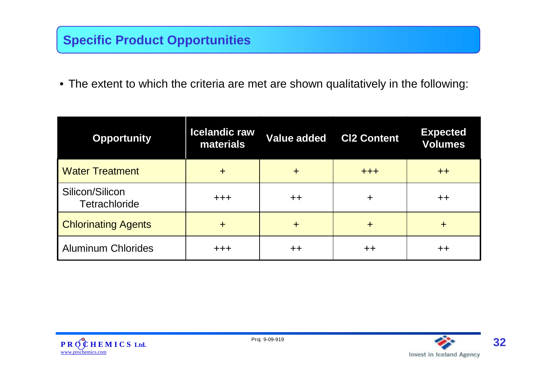## **Specific Product Opportunities**

• The extent to which the criteria are met are shown qualitatively in the following:

| <b>Opportunity</b>               | <b>Icelandic raw</b><br>materials |            | <b>Value added CI2 Content</b> | <b>Expected</b><br><b>Volumes</b> |
|----------------------------------|-----------------------------------|------------|--------------------------------|-----------------------------------|
| <b>Water Treatment</b>           | ┿                                 | ┿          | $+ + +$                        | $++$                              |
| Silicon/Silicon<br>Tetrachloride | $+ + +$                           | $++$       | ┿                              | $+ +$                             |
| <b>Chlorinating Agents</b>       | $+$                               | $\ddagger$ | ┿                              | ┿                                 |
| <b>Aluminum Chlorides</b>        | $+ + +$                           | $+ +$      | ᆠᆠ                             | $^{\mathrm{+}}$                   |



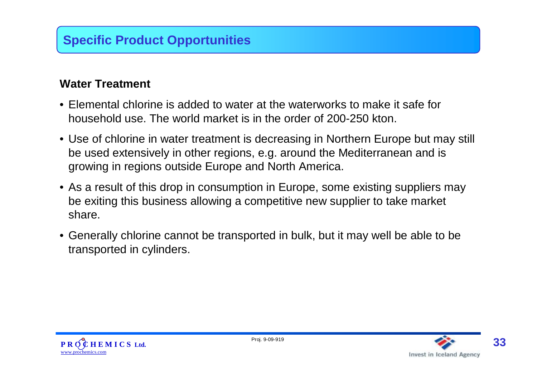### **Water Treatment**

- Elemental chlorine is added to water at the waterworks to make it safe for household use. The world market is in the order of 200-250 kton.
- Use of chlorine in water treatment is decreasing in Northern Europe but may still be used extensively in other regions, e.g. around the Mediterranean and is growing in regions outside Europe and North America.
- As a result of this drop in consumption in Europe, some existing suppliers may be exiting this business allowing a competitive new supplier to take market share.
- Generally chlorine cannot be transported in bulk, but it may well be able to be transported in cylinders.



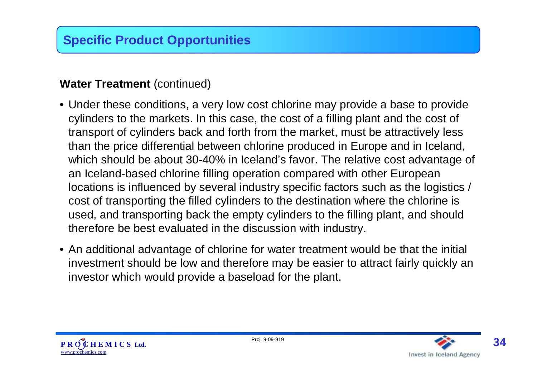#### **Water Treatment** (continued)

- Under these conditions, a very low cost chlorine may provide a base to provide cylinders to the markets. In this case, the cost of a filling plant and the cost of transport of cylinders back and forth from the market, must be attractively less than the price differential between chlorine produced in Europe and in Iceland, which should be about 30-40% in Iceland's favor. The relative cost advantage of an Iceland-based chlorine filling operation compared with other European locations is influenced by several industry specific factors such as the logistics / cost of transporting the filled cylinders to the destination where the chlorine is used, and transporting back the empty cylinders to the filling plant, and should therefore be best evaluated in the discussion with industry.
- An additional advantage of chlorine for water treatment would be that the initial investment should be low and therefore may be easier to attract fairly quickly an investor which would provide a baseload for the plant.



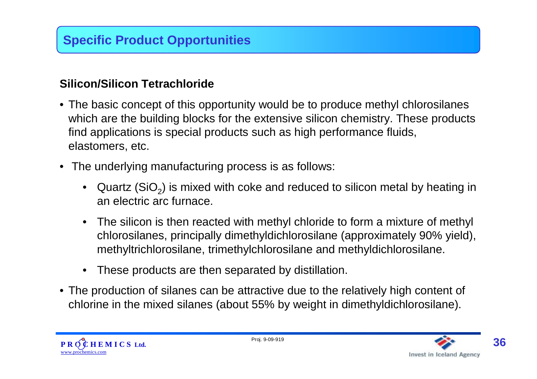#### **Silicon/Silicon Tetrachloride**

- The basic concept of this opportunity would be to produce methyl chlorosilanes which are the building blocks for the extensive silicon chemistry. These products find applications is special products such as high performance fluids, elastomers, etc.
- The underlying manufacturing process is as follows:
	- Quartz (SiO<sub>2</sub>) is mixed with coke and reduced to silicon metal by heating in an electric arc furnace.
	- The silicon is then reacted with methyl chloride to form a mixture of methyl chlorosilanes, principally dimethyldichlorosilane (approximately 90% yield), methyltrichlorosilane, trimethylchlorosilane and methyldichlorosilane.
	- These products are then separated by distillation.
- The production of silanes can be attractive due to the relatively high content of chlorine in the mixed silanes (about 55% by weight in dimethyldichlorosilane).



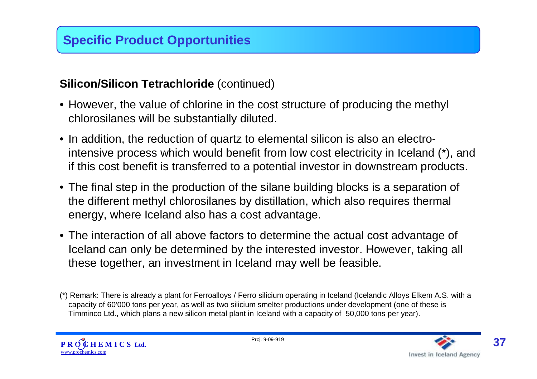#### **Silicon/Silicon Tetrachloride** (continued)

- However, the value of chlorine in the cost structure of producing the methyl chlorosilanes will be substantially diluted.
- In addition, the reduction of quartz to elemental silicon is also an electrointensive process which would benefit from low cost electricity in Iceland (\*), and if this cost benefit is transferred to a potential investor in downstream products.
- The final step in the production of the silane building blocks is a separation of the different methyl chlorosilanes by distillation, which also requires thermal energy, where Iceland also has a cost advantage.
- The interaction of all above factors to determine the actual cost advantage of Iceland can only be determined by the interested investor. However, taking all these together, an investment in Iceland may well be feasible.

<sup>(\*)</sup> Remark: There is already a plant for Ferroalloys / Ferro silicium operating in Iceland (Icelandic Alloys Elkem A.S. with a capacity of 60'000 tons per year, as well as two silicium smelter productions under development (one of these is Timminco Ltd., which plans a new silicon metal plant in Iceland with a capacity of 50,000 tons per year).



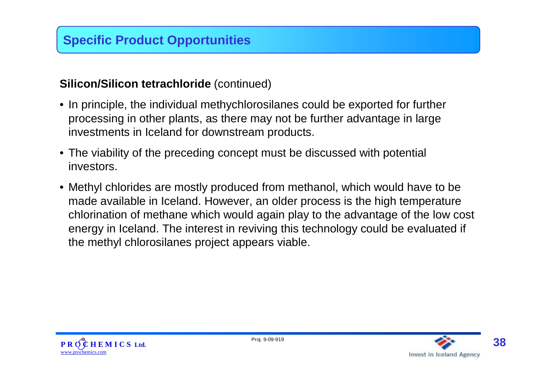#### **Silicon/Silicon tetrachloride** (continued)

- In principle, the individual methychlorosilanes could be exported for further processing in other plants, as there may not be further advantage in large investments in Iceland for downstream products.
- The viability of the preceding concept must be discussed with potential investors.
- Methyl chlorides are mostly produced from methanol, which would have to be made available in Iceland. However, an older process is the high temperature chlorination of methane which would again play to the advantage of the low cost energy in Iceland. The interest in reviving this technology could be evaluated if the methyl chlorosilanes project appears viable.



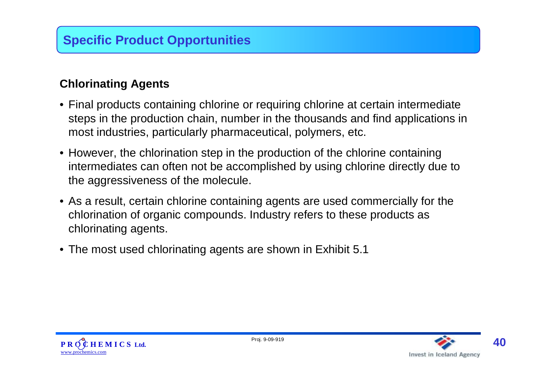### **Chlorinating Agents**

- Final products containing chlorine or requiring chlorine at certain intermediate steps in the production chain, number in the thousands and find applications in most industries, particularly pharmaceutical, polymers, etc.
- However, the chlorination step in the production of the chlorine containing intermediates can often not be accomplished by using chlorine directly due to the aggressiveness of the molecule.
- As a result, certain chlorine containing agents are used commercially for the chlorination of organic compounds. Industry refers to these products as chlorinating agents.
- The most used chlorinating agents are shown in Exhibit 5.1



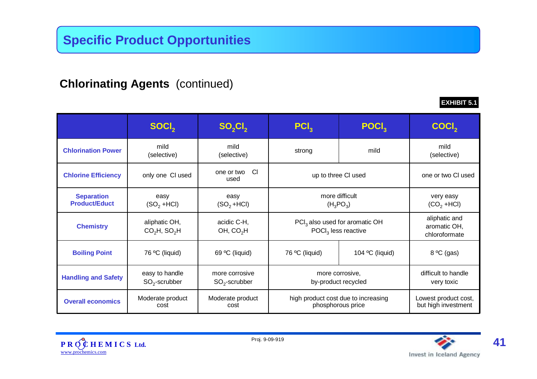### **Chlorinating Agents** (continued)

Lowest product cost, but high investment high product cost due to increasing phosphorous price Moderate product cost Moderate product **Overall economics NOVEFALL PUNCES** difficult to handle very toxic more corrosive, by-product recycled more corrosive  $\mathrm{SO}_2$ -scrubber easy to handle  $SO_2$ -scrubber **Handling and Safety Boiling Point** 76 ºC (liquid) 69 ºC (liquid) 76 ºC (liquid) 104 ºC (liquid) 8 ºC (gas) aliphatic and aromatic OH, chloroformate PCI<sub>3</sub> also used for aromatic OH POCl<sub>3</sub> less reactive acidic C-H, OH, CO<sub>2</sub>H aliphatic OH,  $CO<sub>2</sub>H$ , SO<sub>2</sub>H **Chemistry** very easy  $(CO<sub>2</sub> + HCl)$ more difficult  $(H_3PO_3)$ easy  $(SO<sub>2</sub> + HCl)$ easy  $($ SO $_2$  +HCl $)$ **Separation Product/Educt** one or two Cl | up to three Cl used | one or two Cl used **Chlorine Efficiency** only one Cl used mild mild strong mild mild<br>lective) strong mild (selective) (selective) mild (selective) **Chlorination Power**  $\textbf{S}\textbf{OCl}_2$  **SO**<sub>2</sub>Cl<sub>2</sub> **PCl**3 **POCl**3 **COCl**2



**EXHIBIT 5.1**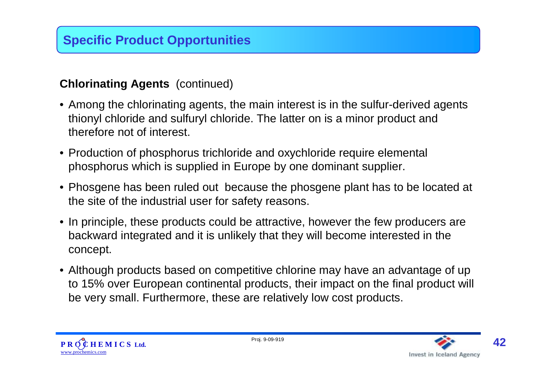### **Chlorinating Agents** (continued)

- Among the chlorinating agents, the main interest is in the sulfur-derived agents thionyl chloride and sulfuryl chloride. The latter on is a minor product and therefore not of interest.
- Production of phosphorus trichloride and oxychloride require elemental phosphorus which is supplied in Europe by one dominant supplier.
- Phosgene has been ruled out because the phosgene plant has to be located at the site of the industrial user for safety reasons.
- In principle, these products could be attractive, however the few producers are backward integrated and it is unlikely that they will become interested in the concept.
- Although products based on competitive chlorine may have an advantage of up to 15% over European continental products, their impact on the final product will be very small. Furthermore, these are relatively low cost products.



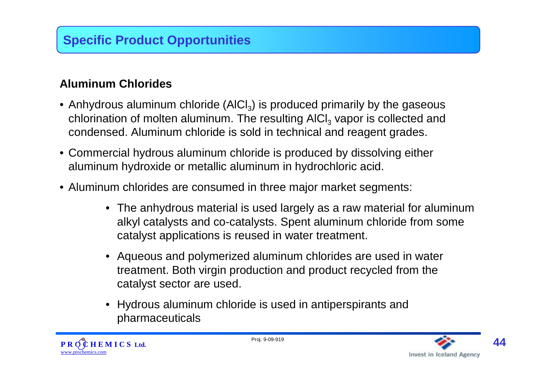# **Specific Product Opportunities**

### **Aluminum Chlorides**

- Anhydrous aluminum chloride (AICI<sub>3</sub>) is produced primarily by the gaseous chlorination of molten aluminum. The resulting AICI<sub>3</sub> vapor is collected and condensed. Aluminum chloride is sold in technical and reagent grades.
- Commercial hydrous aluminum chloride is produced by dissolving either aluminum hydroxide or metallic aluminum in hydrochloric acid.
- Aluminum chlorides are consumed in three major market segments:
	- The anhydrous material is used largely as a raw material for aluminum alkyl catalysts and co-catalysts. Spent aluminum chloride from some catalyst applications is reused in water treatment.
	- Aqueous and polymerized aluminum chlorides are used in water treatment. Both virgin production and product recycled from the catalyst sector are used.
	- Hydrous aluminum chloride is used in antiperspirants and pharmaceuticals



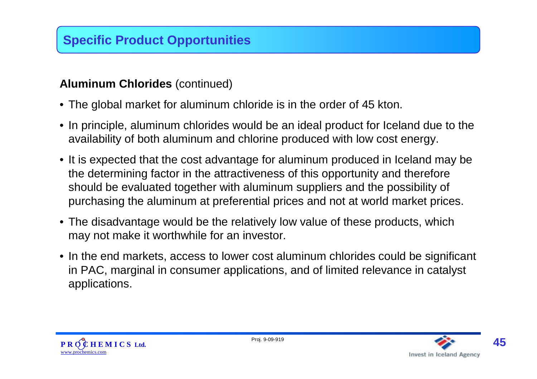### **Aluminum Chlorides** (continued)

- The global market for aluminum chloride is in the order of 45 kton.
- In principle, aluminum chlorides would be an ideal product for Iceland due to the availability of both aluminum and chlorine produced with low cost energy.
- It is expected that the cost advantage for aluminum produced in Iceland may be the determining factor in the attractiveness of this opportunity and therefore should be evaluated together with aluminum suppliers and the possibility of purchasing the aluminum at preferential prices and not at world market prices.
- The disadvantage would be the relatively low value of these products, which may not make it worthwhile for an investor.
- In the end markets, access to lower cost aluminum chlorides could be significant in PAC, marginal in consumer applications, and of limited relevance in catalyst applications.



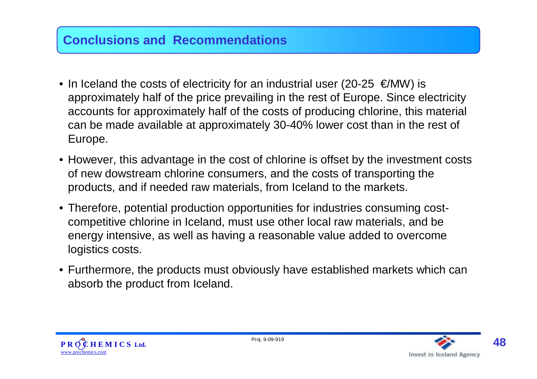### **Conclusions and Recommendations**

- In Iceland the costs of electricity for an industrial user (20-25  $\epsilon$ /MW) is approximately half of the price prevailing in the rest of Europe. Since electricity accounts for approximately half of the costs of producing chlorine, this material can be made available at approximately 30-40% lower cost than in the rest of Europe.
- However, this advantage in the cost of chlorine is offset by the investment costs of new dowstream chlorine consumers, and the costs of transporting the products, and if needed raw materials, from Iceland to the markets.
- Therefore, potential production opportunities for industries consuming costcompetitive chlorine in Iceland, must use other local raw materials, and be energy intensive, as well as having a reasonable value added to overcome logistics costs.
- Furthermore, the products must obviously have established markets which can absorb the product from Iceland.